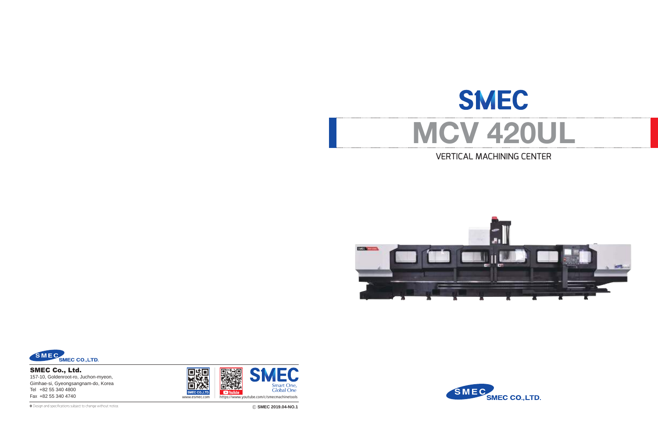# VERTICAL MACHINING CENTER



❖ Ⓔ **SMEC 2019.04-NO.1** Design and specifications subject to change without notice.







SMEC Co., Ltd. 157-10, Goldenroot-ro, Juchon-myeon, Gimhae-si, Gyeongsangnam-do, Korea Tel +82 55 340 4800



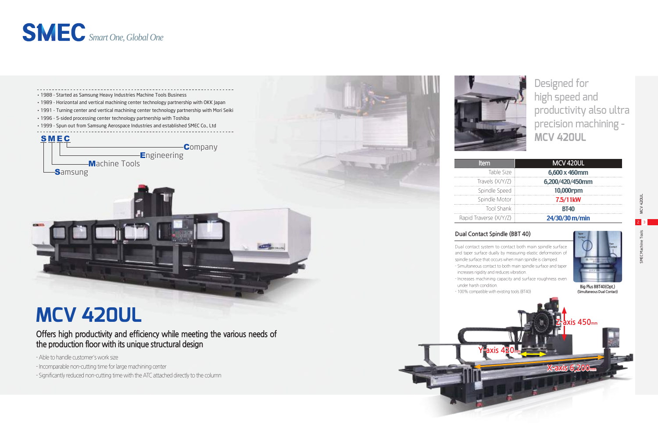

MCV 420UL 2 3 SMEC Machine Tools

# **MCV 420UL**

# **Item MCV 420UL**

| Table Size        | 6,600 x 460mm         |
|-------------------|-----------------------|
| Travels $(X/Y/Z)$ | 6,200/420/450mm       |
| Spindle Speed     | 10,000rpm             |
| Spindle Motor     | 7.5/11 <sub>k</sub> W |
| Tool Shank        | <b>BT40</b>           |
| averse (X/Y/Z)    | 24/30/30 m/min        |

| tem               |  |
|-------------------|--|
| Table Size        |  |
| avels (X/Y/Z)     |  |
| pindle Speed      |  |
| pindle Motor      |  |
| <b>Tool Shank</b> |  |

Designed for high speed and productivity also ultra precision machining - **MCV 420UL**



- Able to handle customer's work size

- Incomparable non-cutting time for large machining center
- Significantly reduced non-cutting time with the ATC attached directly to the column



Rapid Traverse  $(X/Y/Z)$ 

**Z-axis 450mm X-axis 6,200mm Y-axis 420mm (Simultaneous Dual Contact)**

# **Offers high productivity and efficiency while meeting the various needs of the production floor with its unique structural design**

# **Dual Contact Spindle (BBT 40)**

Dual contact system to contact both main spindle surface and taper surface dually by measuring elastic deformation of spindle surface that occurs when main spindle is clamped.

- Simultaneous contact to both main spindle surface and taper increases rigidity and reduces vibration.

- Increases machining capacity and surface roughness even

under harsh condition.







**Big Plus BBT40(Opt.)**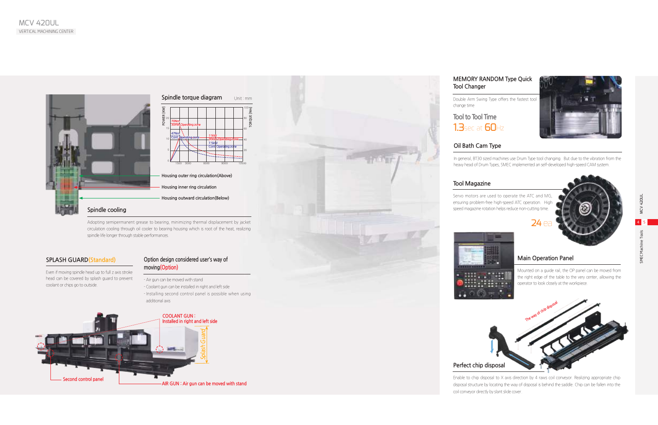# **Main Operation Panel**

Mounted on a guide rail, the OP panel can be moved from the right edge of the table to the very center, allowing the operator to look closely at the workpiece.

# **Tool to Tool Time 1.3sec at 60Hz**

## **MEMORY RANDOM Type Quick Tool Changer**

Double Arm Swing Type offers the fastest tool



change time

# **Oil Bath Cam Type**

In general, BT30 sized machines use Drum Type tool changing. But due to the vibration from the heavy head of Drum Types, SMEC implemented an self-developed high-speed CAM system.





# **Tool Magazine**

Servo motors are used to operate the ATC and MG, ensuring problem-free high-speed ATC operation. High speed magazine rotation helps reduce non-cutting time.



# **Perfect chip disposal**

Enable to chip disposal to X axis direction by 4 raws coil conveyor. Realizing appropriate chip disposal structure by locating the way of disposal is behind the saddle. Chip can be fallen into the coil conveyor directly by slant slide cover.

### **SPLASH GUARD(Standard)**

Even if moving spindle head up to full z axis stroke head can be covered by splash guard to prevent coolant or chips go to outside.

20

40 60

80 100 **TORQUE [Nm]**

 $\overline{z}$ 









### **Option design considered user's way of moving(Option)**

- Air gun can be moved with stand
- Coolant gun can be installed in right and left side
- Installing second control panel is possible when using additional axis

Adopting semipermanent grease to bearing, minimizing thermal displacement by jacket circulation cooling through oil cooler to bearing housing which is root of the heat, realizing spindle life longer through stable performances.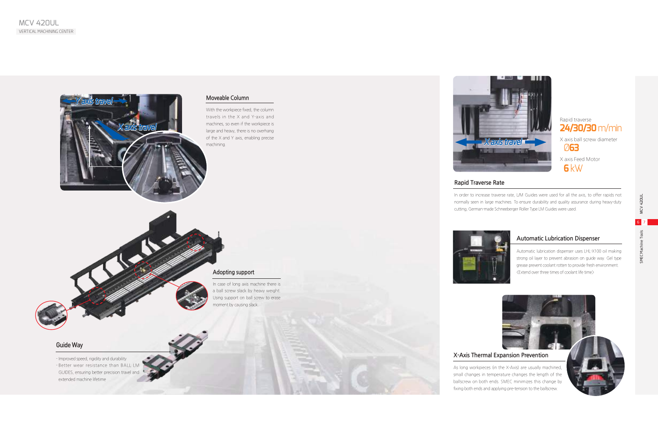SMEC Machine Tools MCV 420UL 6 7

SMEC Mac

MCV 42DUL



# **Rapid Traverse Rate**

In order to increase traverse rate, L/M Guides were used for all the axis, to offer rapids not normally seen in large machines. To ensure durability and quality assurance during heavy-duty cutting, German-made Schneeberger Roller Type LM Guides were used.







As long workpieces (in the X-Axis) are usually machined, small changes in temperature changes the length of the ballscrew on both ends. SMEC minimizes this change by fixing both ends and applying pre-tension to the ballscrew.

Rapid traverse **24/30/30** m/min

X axis ball screw diameter Ø**63**

X axis Feed Motor  **6** kW

## Guide Way

- Improved speed, rigidity and durability - Better wear resistance than BALL LN GUIDES, ensuring better precision travel and extended machine lifetime

# **Automatic Lubrication Dispenser**

Automatic lubrication dispenser uses LHL-X100 oil making strong oil layer to prevent abrasion on guide way. Gel type grease prevent coolant rotten to provide fresh environment. <Extend over three times of coolant life time>

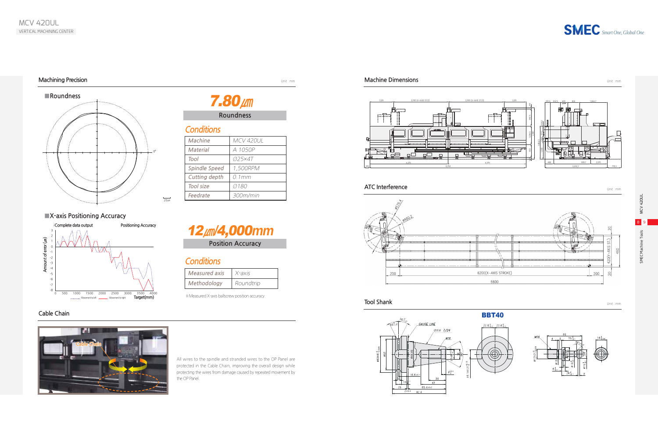SMEC Machine Tools MCV 420UL 8 9

SMEC Machine

MCV 42DUL

# **Machining Precision**

# **Cable Chain**

# *Smart One, Global One*

### Unit : mm **Machine Dimensions** Unit : mm

### **Tool Shank** Unit : mm

# **Conditions**

| Machine              | MCV 420UL |
|----------------------|-----------|
| <b>Material</b>      | A 1050P   |
| Tool                 | 025×4T    |
| <b>Spindle Speed</b> | 1,500RPM  |
| <b>Cutting depth</b> | $0.1$ mm  |
| <b>Tool size</b>     | Ø 1 80    |
| Feedrate             | 300m/min  |

# **Roundness**

7.80**㎛**



**■X-axis Positioning Accuracy**

**Conditions**

**Measured axis** | X-axis

**Methodology Roundtrip** 

**Position Accuracy**

12**㎛**/4,000**mm**

※Measured X-axis ballscrew position accuracy.

All wires to the spindle and stranded wires to the OP Panel are protected in the Cable Chain, improving the overall design while protecting the wires from damage caused by repeated movement by the OP Panel.





# **ATC Interference**